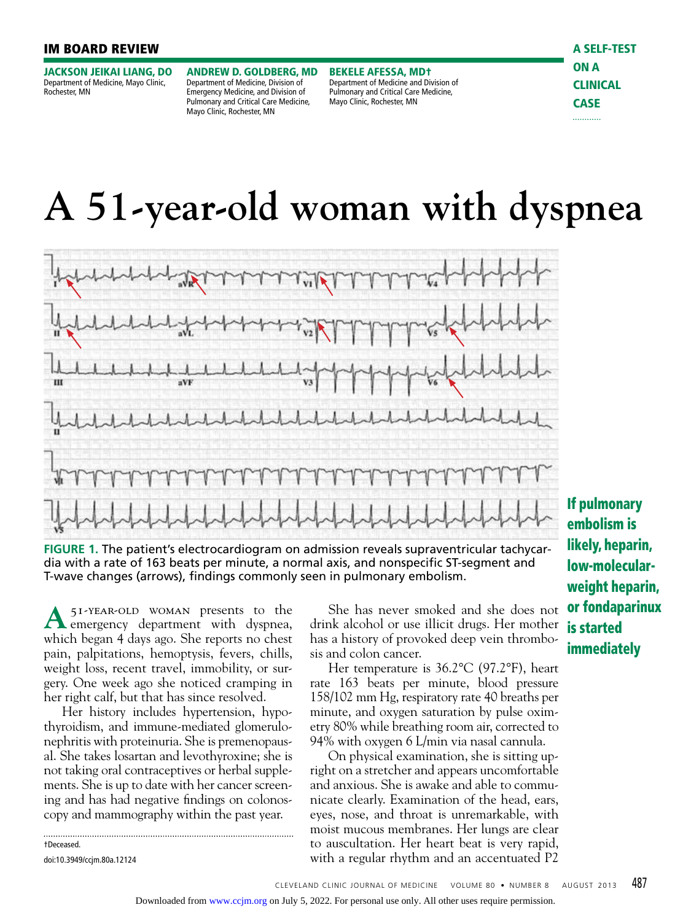## IM BOARD REVIEW

JACKSON JEIKAI LIANG, DO Department of Medicine, Mayo Clinic, Rochester, MN

ANDREW D. GOLDBERG, MD Department of Medicine, Division of Emergency Medicine, and Division of Pulmonary and Critical Care Medicine, Mayo Clinic, Rochester, MN

BEKELE AFESSA, MD† Department of Medicine and Division of Pulmonary and Critical Care Medicine, Mayo Clinic, Rochester, MN

# **A 51-year-old woman with dyspnea**



**FIGURE 1.** The patient's electrocardiogram on admission reveals supraventricular tachycardia with a rate of 163 beats per minute, a normal axis, and nonspecific ST-segment and T-wave changes (arrows), findings commonly seen in pulmonary embolism.

**A** 51-year-old woman presents to the emergency department with dyspnea, which began 4 days ago. She reports no chest pain, palpitations, hemoptysis, fevers, chills, weight loss, recent travel, immobility, or surgery. One week ago she noticed cramping in her right calf, but that has since resolved.

Her history includes hypertension, hypothyroidism, and immune-mediated glomerulonephritis with proteinuria. She is premenopausal. She takes losartan and levothyroxine; she is not taking oral contraceptives or herbal supplements. She is up to date with her cancer screening and has had negative findings on colonoscopy and mammography within the past year.

.............. †Deceased. doi:10.3949/ccjm.80a.12124

She has never smoked and she does not drink alcohol or use illicit drugs. Her mother has a history of provoked deep vein thrombosis and colon cancer.

Her temperature is 36.2°C (97.2°F), heart rate 163 beats per minute, blood pressure 158/102 mm Hg, respiratory rate 40 breaths per minute, and oxygen saturation by pulse oximetry 80% while breathing room air, corrected to 94% with oxygen 6 L/min via nasal cannula.

On physical examination, she is sitting upright on a stretcher and appears uncomfortable and anxious. She is awake and able to communicate clearly. Examination of the head, ears, eyes, nose, and throat is unremarkable, with moist mucous membranes. Her lungs are clear to auscultation. Her heart beat is very rapid, with a regular rhythm and an accentuated P2

If pulmonary embolism is likely, heparin, low-molecularweight heparin, or fondaparinux is started immediately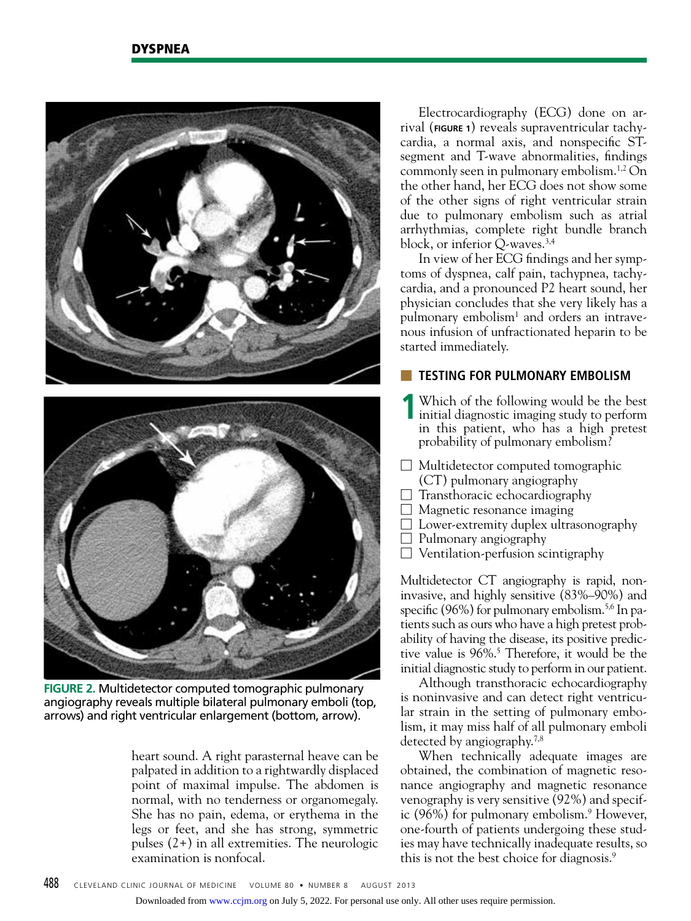

**FIGURE 2.** Multidetector computed tomographic pulmonary angiography reveals multiple bilateral pulmonary emboli (top, arrows) and right ventricular enlargement (bottom, arrow).

heart sound. A right parasternal heave can be palpated in addition to a rightwardly displaced point of maximal impulse. The abdomen is normal, with no tenderness or organomegaly. She has no pain, edema, or erythema in the legs or feet, and she has strong, symmetric pulses (2+) in all extremities. The neurologic examination is nonfocal.

Electrocardiography (ECG) done on arrival (**FIGURE 1**) reveals supraventricular tachycardia, a normal axis, and nonspecific STsegment and T-wave abnormalities, findings commonly seen in pulmonary embolism.1,2 On the other hand, her ECG does not show some of the other signs of right ventricular strain due to pulmonary embolism such as atrial arrhythmias, complete right bundle branch block, or inferior  $Q$ -waves.<sup>3,4</sup>

In view of her ECG findings and her symptoms of dyspnea, calf pain, tachypnea, tachycardia, and a pronounced P2 heart sound, her physician concludes that she very likely has a pulmonary embolism<sup>1</sup> and orders an intravenous infusion of unfractionated heparin to be started immediately.

# **TESTING FOR PULMONARY EMBOLISM**

- **1** Which of the following would be the best initial diagnostic imaging study to perform in this patient, who has a high pretest probability of pulmonary embolism?
- $\Box$  Multidetector computed tomographic (CT) pulmonary angiography
- $\Box$  Transthoracic echocardiography
- $\Box$  Magnetic resonance imaging
- □ Lower-extremity duplex ultrasonography
- $\Box$  Pulmonary angiography
- $\Box$  Ventilation-perfusion scintigraphy

Multidetector CT angiography is rapid, noninvasive, and highly sensitive (83%–90%) and specific (96%) for pulmonary embolism.<sup>5,6</sup> In patients such as ours who have a high pretest probability of having the disease, its positive predictive value is 96%.<sup>5</sup> Therefore, it would be the initial diagnostic study to perform in our patient.

Although transthoracic echocardiography is noninvasive and can detect right ventricular strain in the setting of pulmonary embolism, it may miss half of all pulmonary emboli detected by angiography.<sup>7,8</sup>

When technically adequate images are obtained, the combination of magnetic resonance angiography and magnetic resonance venography is very sensitive (92%) and specific (96%) for pulmonary embolism.<sup>9</sup> However, one-fourth of patients undergoing these studies may have technically inadequate results, so this is not the best choice for diagnosis.<sup>9</sup>

Downloaded from [www.ccjm.org](http://www.ccjm.org/) on July 5, 2022. For personal use only. All other uses require permission.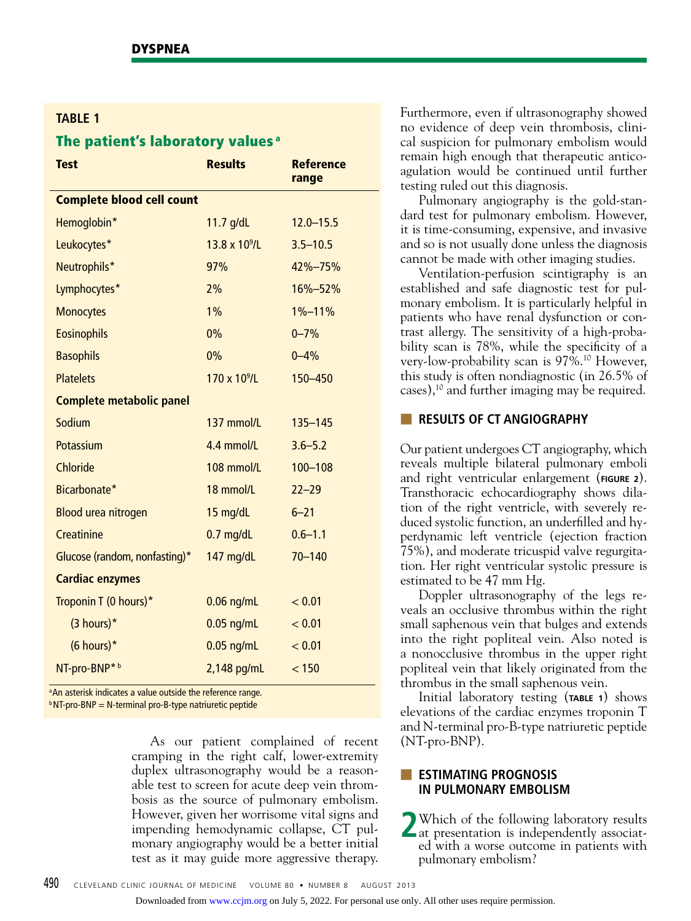# **TABLE 1**

# The patient's laboratory values<sup>a</sup>

| <b>Test</b>                      | <b>Results</b>           | <b>Reference</b><br>range |  |  |
|----------------------------------|--------------------------|---------------------------|--|--|
| <b>Complete blood cell count</b> |                          |                           |  |  |
| Hemoglobin*                      | 11.7 g/dL                | $12.0 - 15.5$             |  |  |
| Leukocytes*                      | $13.8 \times 10^{9}$ /L  | $3.5 - 10.5$              |  |  |
| Neutrophils*                     | 97%                      | 42%-75%                   |  |  |
| Lymphocytes*                     | 2%                       | 16%-52%                   |  |  |
| <b>Monocytes</b>                 | 1%                       | $1\% - 11\%$              |  |  |
| <b>Eosinophils</b>               | 0%                       | $0 - 7%$                  |  |  |
| <b>Basophils</b>                 | 0%                       | $0 - 4%$                  |  |  |
| <b>Platelets</b>                 | 170 x 10 <sup>9</sup> /L | 150-450                   |  |  |
| <b>Complete metabolic panel</b>  |                          |                           |  |  |
| Sodium                           | 137 mmol/L               | $135 - 145$               |  |  |
| Potassium                        | 4.4 mmol/L               | $3.6 - 5.2$               |  |  |
| <b>Chloride</b>                  | 108 mmol/L               | 100-108                   |  |  |
| Bicarbonate*                     | 18 mmol/L                | $22 - 29$                 |  |  |
| <b>Blood urea nitrogen</b>       | 15 mg/dL                 | $6 - 21$                  |  |  |
| Creatinine                       | $0.7$ mg/dL              | $0.6 - 1.1$               |  |  |
| Glucose (random, nonfasting)*    | 147 mg/dL                | $70 - 140$                |  |  |
| <b>Cardiac enzymes</b>           |                          |                           |  |  |
| Troponin T (0 hours)*            | $0.06$ ng/mL             | < 0.01                    |  |  |
| $(3$ hours)*                     | $0.05$ ng/mL             | < 0.01                    |  |  |
| $(6$ hours)*                     | $0.05$ ng/mL             | < 0.01                    |  |  |
| NT-pro-BNP*b                     | $2,148$ pg/mL            | < 150                     |  |  |

<sup>a</sup> An asterisk indicates a value outside the reference range.

 $b$  NT-pro-BNP = N-terminal pro-B-type natriuretic peptide

As our patient complained of recent cramping in the right calf, lower-extremity duplex ultrasonography would be a reasonable test to screen for acute deep vein thrombosis as the source of pulmonary embolism. However, given her worrisome vital signs and impending hemodynamic collapse, CT pulmonary angiography would be a better initial test as it may guide more aggressive therapy.

Furthermore, even if ultrasonography showed no evidence of deep vein thrombosis, clinical suspicion for pulmonary embolism would remain high enough that therapeutic anticoagulation would be continued until further testing ruled out this diagnosis.

Pulmonary angiography is the gold-standard test for pulmonary embolism. However, it is time-consuming, expensive, and invasive and so is not usually done unless the diagnosis cannot be made with other imaging studies.

Ventilation-perfusion scintigraphy is an established and safe diagnostic test for pulmonary embolism. It is particularly helpful in patients who have renal dysfunction or contrast allergy. The sensitivity of a high-probability scan is 78%, while the specificity of a very-low-probability scan is 97%.10 However, this study is often nondiagnostic (in 26.5% of cases),10 and further imaging may be required.

# ■ **RESULTS OF CT ANGIOGRAPHY**

Our patient undergoes CT angiography, which reveals multiple bilateral pulmonary emboli and right ventricular enlargement (**FIGURE 2**). Transthoracic echocardiography shows dilation of the right ventricle, with severely reduced systolic function, an underfilled and hyperdynamic left ventricle (ejection fraction 75%), and moderate tricuspid valve regurgitation. Her right ventricular systolic pressure is estimated to be 47 mm Hg.

Doppler ultrasonography of the legs reveals an occlusive thrombus within the right small saphenous vein that bulges and extends into the right popliteal vein. Also noted is a nonocclusive thrombus in the upper right popliteal vein that likely originated from the thrombus in the small saphenous vein.

Initial laboratory testing (**TABLE 1**) shows elevations of the cardiac enzymes troponin T and N-terminal pro-B-type natriuretic peptide (NT-pro-BNP).

# ■ **ESTIMATING PROGNOSIS IN PULMONARY EMBOLISM**

**2** Which of the following laboratory results at presentation is independently associated with a worse outcome in patients with pulmonary embolism?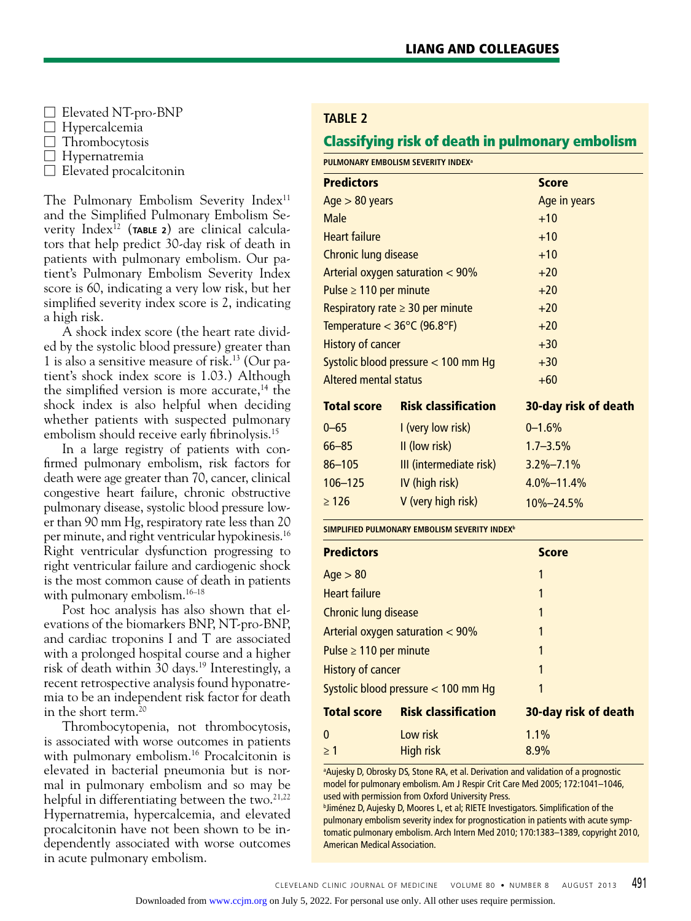- $\Box$  Elevated NT-pro-BNP
- $\Box$  Hypercalcemia
- □ Thrombocytosis
- □ Hypernatremia
- $\Box$  Elevated procalcitonin

The Pulmonary Embolism Severity Index<sup>11</sup> and the Simplified Pulmonary Embolism Severity Index12 (**TABLE 2**) are clinical calculators that help predict 30-day risk of death in patients with pulmonary embolism. Our patient's Pulmonary Embolism Severity Index score is 60, indicating a very low risk, but her simplified severity index score is 2, indicating a high risk.

A shock index score (the heart rate divided by the systolic blood pressure) greater than 1 is also a sensitive measure of risk.13 (Our patient's shock index score is 1.03.) Although the simplified version is more accurate,<sup>14</sup> the shock index is also helpful when deciding whether patients with suspected pulmonary embolism should receive early fibrinolysis.<sup>15</sup>

In a large registry of patients with confirmed pulmonary embolism, risk factors for death were age greater than 70, cancer, clinical congestive heart failure, chronic obstructive pulmonary disease, systolic blood pressure lower than 90 mm Hg, respiratory rate less than 20 per minute, and right ventricular hypokinesis.16 Right ventricular dysfunction progressing to right ventricular failure and cardiogenic shock is the most common cause of death in patients with pulmonary embolism.16–18

Post hoc analysis has also shown that elevations of the biomarkers BNP, NT-pro-BNP, and cardiac troponins I and T are associated with a prolonged hospital course and a higher risk of death within 30 days.<sup>19</sup> Interestingly, a recent retrospective analysis found hyponatremia to be an independent risk factor for death in the short term.<sup>20</sup>

Thrombocytopenia, not thrombocytosis, is associated with worse outcomes in patients with pulmonary embolism.<sup>16</sup> Procalcitonin is elevated in bacterial pneumonia but is normal in pulmonary embolism and so may be helpful in differentiating between the two.<sup>21,22</sup> Hypernatremia, hypercalcemia, and elevated procalcitonin have not been shown to be independently associated with worse outcomes in acute pulmonary embolism.

# **Table 2**

# Classifying risk of death in pulmonary embolism

**Pulmonary Embolism severity indexa**

|                            | Age in years                                                                                                                                                                                                                                                                          |
|----------------------------|---------------------------------------------------------------------------------------------------------------------------------------------------------------------------------------------------------------------------------------------------------------------------------------|
|                            | $+10$                                                                                                                                                                                                                                                                                 |
|                            | $+10$                                                                                                                                                                                                                                                                                 |
|                            | $+10$                                                                                                                                                                                                                                                                                 |
|                            | $+20$                                                                                                                                                                                                                                                                                 |
|                            | $+20$                                                                                                                                                                                                                                                                                 |
|                            | $+20$                                                                                                                                                                                                                                                                                 |
|                            | $+20$                                                                                                                                                                                                                                                                                 |
|                            | $+30$                                                                                                                                                                                                                                                                                 |
|                            | $+30$                                                                                                                                                                                                                                                                                 |
|                            | $+60$                                                                                                                                                                                                                                                                                 |
| <b>Risk classification</b> | 30-day risk of death                                                                                                                                                                                                                                                                  |
| I (very low risk)          | $0 - 1.6%$                                                                                                                                                                                                                                                                            |
| II (low risk)              | $1.7 - 3.5\%$                                                                                                                                                                                                                                                                         |
| III (intermediate risk)    | $3.2\% - 7.1\%$                                                                                                                                                                                                                                                                       |
| IV (high risk)             | $4.0\% - 11.4\%$                                                                                                                                                                                                                                                                      |
| V (very high risk)         | $10\% - 24.5\%$                                                                                                                                                                                                                                                                       |
|                            | Chronic lung disease<br>Arterial oxygen saturation $<$ 90%<br>Pulse $\geq 110$ per minute<br>Respiratory rate $\geq$ 30 per minute<br>Temperature $<$ 36 $\degree$ C (96.8 $\degree$ F)<br><b>History of cancer</b><br>Systolic blood pressure $<$ 100 mm Hg<br>Altered mental status |

| <b>Predictors</b>           |                                     | <b>Score</b>         |  |
|-----------------------------|-------------------------------------|----------------------|--|
|                             |                                     |                      |  |
| Age > 80                    |                                     | 1                    |  |
| <b>Heart failure</b>        |                                     |                      |  |
| Chronic lung disease        |                                     | 1                    |  |
|                             | Arterial oxygen saturation $< 90\%$ |                      |  |
| Pulse $\geq 110$ per minute |                                     | 1                    |  |
| <b>History of cancer</b>    |                                     | 1                    |  |
|                             | Systolic blood pressure < 100 mm Hq | 1                    |  |
| <b>Total score</b>          | <b>Risk classification</b>          | 30-day risk of death |  |
| $\Omega$                    | Low risk                            | 1.1%                 |  |
| > 1                         | High risk                           | 8.9%                 |  |

<sup>a</sup>Aujesky D, Obrosky DS, Stone RA, et al. Derivation and validation of a prognostic model for pulmonary embolism. Am J Respir Crit Care Med 2005; 172:1041–1046, used with permission from Oxford University Press.

**bliménez D, Aujesky D, Moores L, et al; RIETE Investigators. Simplification of the** pulmonary embolism severity index for prognostication in patients with acute symptomatic pulmonary embolism. Arch Intern Med 2010; 170:1383–1389, copyright 2010, American Medical Association.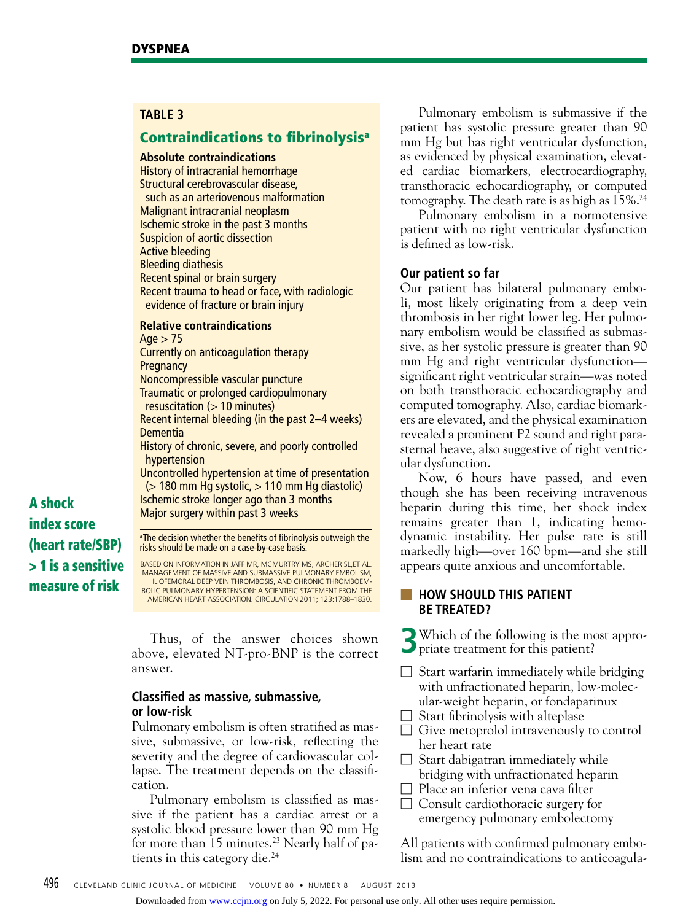# **TABLE 3**

# Contraindications to fibrinolysisa

#### **Absolute contraindications**

History of intracranial hemorrhage Structural cerebrovascular disease, such as an arteriovenous malformation Malignant intracranial neoplasm Ischemic stroke in the past 3 months Suspicion of aortic dissection Active bleeding Bleeding diathesis Recent spinal or brain surgery Recent trauma to head or face, with radiologic evidence of fracture or brain injury

#### **Relative contraindications**

 $Age > 75$ Currently on anticoagulation therapy **Pregnancy** Noncompressible vascular puncture Traumatic or prolonged cardiopulmonary resuscitation  $(> 10$  minutes) Recent internal bleeding (in the past 2–4 weeks) Dementia History of chronic, severe, and poorly controlled hypertension Uncontrolled hypertension at time of presentation  $($  180 mm Hg systolic,  $> 110$  mm Hg diastolic) Ischemic stroke longer ago than 3 months Major surgery within past 3 weeks <sup>a</sup> The decision whether the benefits of fibrinolysis outweigh the risks should be made on a case-by-case basis.

A shock index score (heart rate/SBP) > 1 is a sensitive measure of risk

based on information in Jaff MR, McMurtry MS, Archer SL,et al. Management of massive and submassive pulmonary embolism,

iliofemoral deep vein thrombosis, and chronic thromboembolic pulmonary hypertension: a scientific statement from the American Heart Association. Circulation 2011; 123:1788–1830.

Thus, of the answer choices shown above, elevated NT-pro-BNP is the correct answer.

# **Classified as massive, submassive, or low-risk**

Pulmonary embolism is often stratified as massive, submassive, or low-risk, reflecting the severity and the degree of cardiovascular collapse. The treatment depends on the classification.

Pulmonary embolism is classified as massive if the patient has a cardiac arrest or a systolic blood pressure lower than 90 mm Hg for more than 15 minutes.<sup>23</sup> Nearly half of patients in this category die.<sup>24</sup>

Pulmonary embolism is submassive if the patient has systolic pressure greater than 90 mm Hg but has right ventricular dysfunction, as evidenced by physical examination, elevated cardiac biomarkers, electrocardiography, transthoracic echocardiography, or computed tomography. The death rate is as high as 15%.24

Pulmonary embolism in a normotensive patient with no right ventricular dysfunction is defined as low-risk.

# **Our patient so far**

Our patient has bilateral pulmonary emboli, most likely originating from a deep vein thrombosis in her right lower leg. Her pulmonary embolism would be classified as submassive, as her systolic pressure is greater than 90 mm Hg and right ventricular dysfunction significant right ventricular strain—was noted on both transthoracic echocardiography and computed tomography. Also, cardiac biomarkers are elevated, and the physical examination revealed a prominent P2 sound and right parasternal heave, also suggestive of right ventricular dysfunction.

Now, 6 hours have passed, and even though she has been receiving intravenous heparin during this time, her shock index remains greater than 1, indicating hemodynamic instability. Her pulse rate is still markedly high—over 160 bpm—and she still appears quite anxious and uncomfortable.

## ■ **HOW SHOULD THIS PATIENT BE TREATED?**

**3** Which of the following is the most appro-**P** priate treatment for this patient?

- $\Box$  Start warfarin immediately while bridging with unfractionated heparin, low-molecular-weight heparin, or fondaparinux
- $\Box$  Start fibrinolysis with alteplase
- $\Box$  Give metoprolol intravenously to control her heart rate
- $\Box$  Start dabigatran immediately while bridging with unfractionated heparin
- $\Box$  Place an inferior vena cava filter
- □ Consult cardiothoracic surgery for emergency pulmonary embolectomy

All patients with confirmed pulmonary embolism and no contraindications to anticoagula-

Downloaded from [www.ccjm.org](http://www.ccjm.org/) on July 5, 2022. For personal use only. All other uses require permission.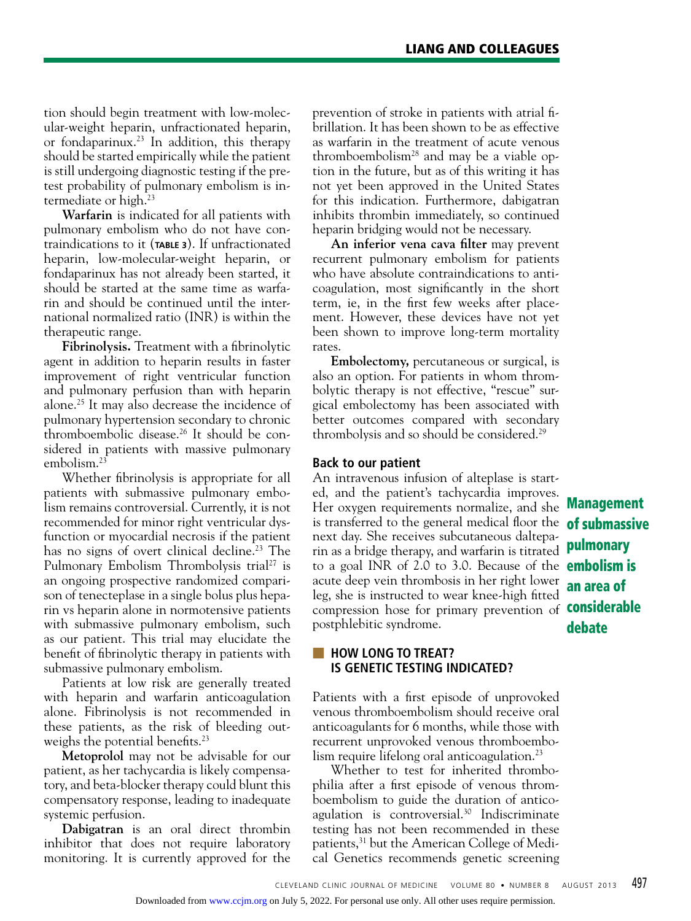tion should begin treatment with low-molecular-weight heparin, unfractionated heparin, or fondaparinux.<sup>23</sup> In addition, this therapy should be started empirically while the patient is still undergoing diagnostic testing if the pretest probability of pulmonary embolism is intermediate or high.<sup>23</sup>

**Warfarin** is indicated for all patients with pulmonary embolism who do not have contraindications to it (**TABLE 3**). If unfractionated heparin, low-molecular-weight heparin, or fondaparinux has not already been started, it should be started at the same time as warfarin and should be continued until the international normalized ratio (INR) is within the therapeutic range.

**Fibrinolysis.** Treatment with a fibrinolytic agent in addition to heparin results in faster improvement of right ventricular function and pulmonary perfusion than with heparin alone.25 It may also decrease the incidence of pulmonary hypertension secondary to chronic thromboembolic disease.26 It should be considered in patients with massive pulmonary embolism.23

Whether fibrinolysis is appropriate for all patients with submassive pulmonary embolism remains controversial. Currently, it is not recommended for minor right ventricular dysfunction or myocardial necrosis if the patient has no signs of overt clinical decline.<sup>23</sup> The Pulmonary Embolism Thrombolysis trial<sup>27</sup> is an ongoing prospective randomized comparison of tenecteplase in a single bolus plus heparin vs heparin alone in normotensive patients with submassive pulmonary embolism, such as our patient. This trial may elucidate the benefit of fibrinolytic therapy in patients with submassive pulmonary embolism.

Patients at low risk are generally treated with heparin and warfarin anticoagulation alone. Fibrinolysis is not recommended in these patients, as the risk of bleeding outweighs the potential benefits.<sup>23</sup>

**Metoprolol** may not be advisable for our patient, as her tachycardia is likely compensatory, and beta-blocker therapy could blunt this compensatory response, leading to inadequate systemic perfusion.

**Dabigatran** is an oral direct thrombin inhibitor that does not require laboratory monitoring. It is currently approved for the prevention of stroke in patients with atrial fibrillation. It has been shown to be as effective as warfarin in the treatment of acute venous thromboembolism28 and may be a viable option in the future, but as of this writing it has not yet been approved in the United States for this indication. Furthermore, dabigatran inhibits thrombin immediately, so continued heparin bridging would not be necessary.

**An inferior vena cava filter** may prevent recurrent pulmonary embolism for patients who have absolute contraindications to anticoagulation, most significantly in the short term, ie, in the first few weeks after placement. However, these devices have not yet been shown to improve long-term mortality rates.

**Embolectomy,** percutaneous or surgical, is also an option. For patients in whom thrombolytic therapy is not effective, "rescue" surgical embolectomy has been associated with better outcomes compared with secondary thrombolysis and so should be considered.29

## **Back to our patient**

Her oxygen requirements normalize, and she **Management** is transferred to the general medical floor the **of submassive** to a goal INR of 2.0 to 3.0. Because of the embolism is compression hose for primary prevention of **considerable** An intravenous infusion of alteplase is started, and the patient's tachycardia improves. next day. She receives subcutaneous dalteparin as a bridge therapy, and warfarin is titrated acute deep vein thrombosis in her right lower leg, she is instructed to wear knee-high fitted postphlebitic syndrome.

pulmonary an area of debate

# ■ **HOW LONG TO TREAT? IS GENETIC TESTING INDICATED?**

Patients with a first episode of unprovoked venous thromboembolism should receive oral anticoagulants for 6 months, while those with recurrent unprovoked venous thromboembolism require lifelong oral anticoagulation.<sup>23</sup>

Whether to test for inherited thrombophilia after a first episode of venous thromboembolism to guide the duration of anticoagulation is controversial.<sup>30</sup> Indiscriminate testing has not been recommended in these patients,<sup>31</sup> but the American College of Medical Genetics recommends genetic screening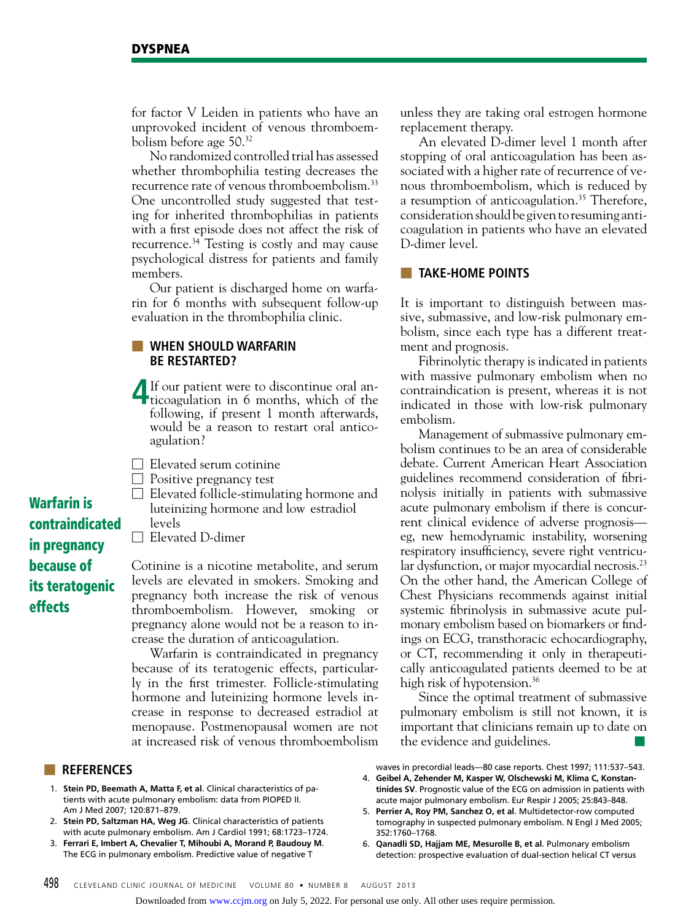for factor V Leiden in patients who have an unprovoked incident of venous thromboembolism before age 50.32

No randomized controlled trial has assessed whether thrombophilia testing decreases the recurrence rate of venous thromboembolism.<sup>33</sup> One uncontrolled study suggested that testing for inherited thrombophilias in patients with a first episode does not affect the risk of recurrence.34 Testing is costly and may cause psychological distress for patients and family members.

Our patient is discharged home on warfarin for 6 months with subsequent follow-up evaluation in the thrombophilia clinic.

# ■ **WHEN SHOULD WARFARIN BE RESTARTED?**

- **4** If our patient were to discontinue oral anticoagulation in 6 months, which of the following, if present 1 month afterwards, would be a reason to restart oral anticoagulation?
- □ Elevated serum cotinine
- $\Box$  Positive pregnancy test
- $\Box$  Elevated follicle-stimulating hormone and luteinizing hormone and low estradiol levels
- □ Elevated D-dimer

Cotinine is a nicotine metabolite, and serum levels are elevated in smokers. Smoking and pregnancy both increase the risk of venous thromboembolism. However, smoking or pregnancy alone would not be a reason to increase the duration of anticoagulation.

Warfarin is contraindicated in pregnancy because of its teratogenic effects, particularly in the first trimester. Follicle-stimulating hormone and luteinizing hormone levels increase in response to decreased estradiol at menopause. Postmenopausal women are not at increased risk of venous thromboembolism

## ■ **References**

- 1. **Stein PD, Beemath A, Matta F, et al**. Clinical characteristics of patients with acute pulmonary embolism: data from PIOPED II. Am J Med 2007; 120:871–879.
- 2. **Stein PD, Saltzman HA, Weg JG**. Clinical characteristics of patients with acute pulmonary embolism. Am J Cardiol 1991; 68:1723–1724.
- 3. **Ferrari E, Imbert A, Chevalier T, Mihoubi A, Morand P, Baudouy M**. The ECG in pulmonary embolism. Predictive value of negative T

unless they are taking oral estrogen hormone replacement therapy.

An elevated D-dimer level 1 month after stopping of oral anticoagulation has been associated with a higher rate of recurrence of venous thromboembolism, which is reduced by a resumption of anticoagulation.<sup>35</sup> Therefore, consideration should be given to resuming anticoagulation in patients who have an elevated D-dimer level.

# ■ **TAKE-HOME POINTS**

It is important to distinguish between massive, submassive, and low-risk pulmonary embolism, since each type has a different treatment and prognosis.

Fibrinolytic therapy is indicated in patients with massive pulmonary embolism when no contraindication is present, whereas it is not indicated in those with low-risk pulmonary embolism.

Management of submassive pulmonary embolism continues to be an area of considerable debate. Current American Heart Association guidelines recommend consideration of fibrinolysis initially in patients with submassive acute pulmonary embolism if there is concurrent clinical evidence of adverse prognosis eg, new hemodynamic instability, worsening respiratory insufficiency, severe right ventricular dysfunction, or major myocardial necrosis.<sup>23</sup> On the other hand, the American College of Chest Physicians recommends against initial systemic fibrinolysis in submassive acute pulmonary embolism based on biomarkers or findings on ECG, transthoracic echocardiography, or CT, recommending it only in therapeutically anticoagulated patients deemed to be at high risk of hypotension.<sup>36</sup>

Since the optimal treatment of submassive pulmonary embolism is still not known, it is important that clinicians remain up to date on the evidence and guidelines.

waves in precordial leads—80 case reports. Chest 1997; 111:537–543.

- 4. **Geibel A, Zehender M, Kasper W, Olschewski M, Klima C, Konstantinides SV**. Prognostic value of the ECG on admission in patients with acute major pulmonary embolism. Eur Respir J 2005; 25:843–848.
- 5. **Perrier A, Roy PM, Sanchez O, et al**. Multidetector-row computed tomography in suspected pulmonary embolism. N Engl J Med 2005; 352:1760–1768.
- 6. **Qanadli SD, Hajjam ME, Mesurolle B, et al**. Pulmonary embolism detection: prospective evaluation of dual-section helical CT versus

contraindicated in pregnancy because of its teratogenic effects

Warfarin is

Downloaded from [www.ccjm.org](http://www.ccjm.org/) on July 5, 2022. For personal use only. All other uses require permission.